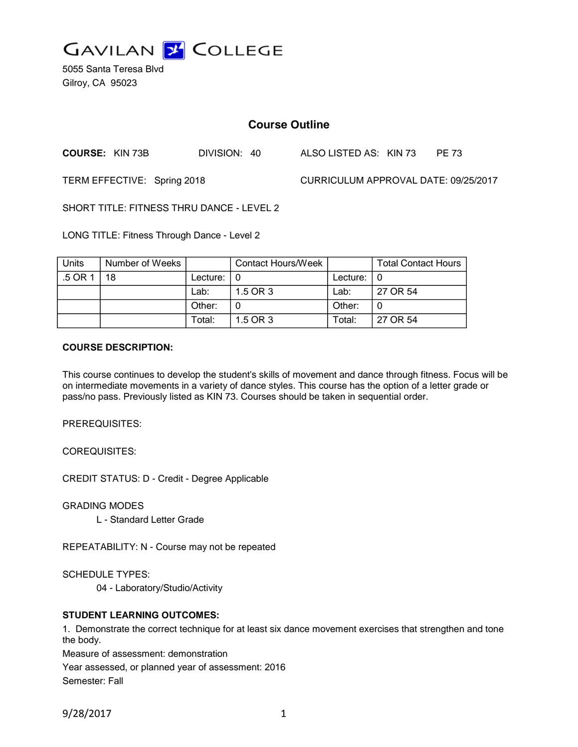

5055 Santa Teresa Blvd Gilroy, CA 95023

# **Course Outline**

**COURSE:** KIN 73B DIVISION: 40 ALSO LISTED AS: KIN 73 PE 73

TERM EFFECTIVE: Spring 2018 CURRICULUM APPROVAL DATE: 09/25/2017

SHORT TITLE: FITNESS THRU DANCE - LEVEL 2

LONG TITLE: Fitness Through Dance - Level 2

| <b>Units</b> | Number of Weeks |          | Contact Hours/Week |               | <b>Total Contact Hours</b> |
|--------------|-----------------|----------|--------------------|---------------|----------------------------|
| .5 OR 1      | 18              | Lecture: |                    | Lecture: $ 0$ |                            |
|              |                 | Lab:     | 1.5 OR 3           | Lab:          | 27 OR 54                   |
|              |                 | Other:   |                    | Other:        |                            |
|              |                 | Total:   | 1.5 OR 3           | Total:        | 27 OR 54                   |

#### **COURSE DESCRIPTION:**

This course continues to develop the student's skills of movement and dance through fitness. Focus will be on intermediate movements in a variety of dance styles. This course has the option of a letter grade or pass/no pass. Previously listed as KIN 73. Courses should be taken in sequential order.

PREREQUISITES:

COREQUISITES:

CREDIT STATUS: D - Credit - Degree Applicable

GRADING MODES

L - Standard Letter Grade

REPEATABILITY: N - Course may not be repeated

SCHEDULE TYPES:

04 - Laboratory/Studio/Activity

### **STUDENT LEARNING OUTCOMES:**

1. Demonstrate the correct technique for at least six dance movement exercises that strengthen and tone the body.

Measure of assessment: demonstration

Year assessed, or planned year of assessment: 2016 Semester: Fall

9/28/2017 1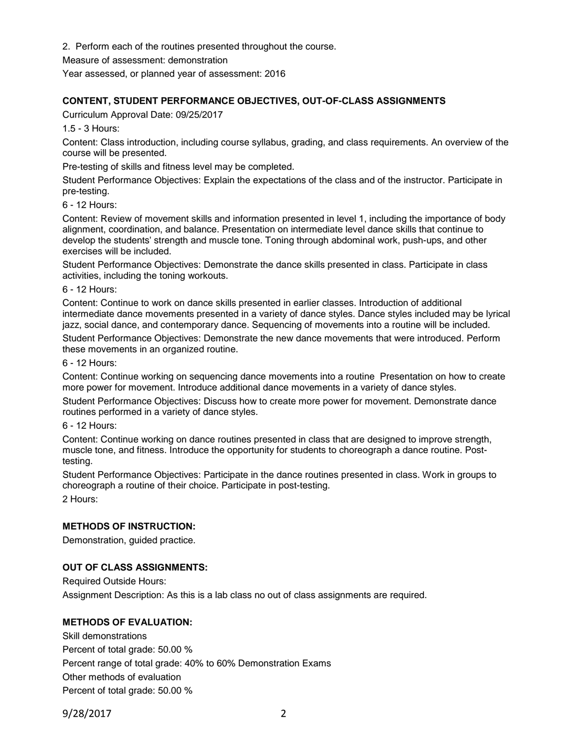2. Perform each of the routines presented throughout the course.

Measure of assessment: demonstration

Year assessed, or planned year of assessment: 2016

# **CONTENT, STUDENT PERFORMANCE OBJECTIVES, OUT-OF-CLASS ASSIGNMENTS**

Curriculum Approval Date: 09/25/2017

1.5 - 3 Hours:

Content: Class introduction, including course syllabus, grading, and class requirements. An overview of the course will be presented.

Pre-testing of skills and fitness level may be completed.

Student Performance Objectives: Explain the expectations of the class and of the instructor. Participate in pre-testing.

6 - 12 Hours:

Content: Review of movement skills and information presented in level 1, including the importance of body alignment, coordination, and balance. Presentation on intermediate level dance skills that continue to develop the students' strength and muscle tone. Toning through abdominal work, push-ups, and other exercises will be included.

Student Performance Objectives: Demonstrate the dance skills presented in class. Participate in class activities, including the toning workouts.

6 - 12 Hours:

Content: Continue to work on dance skills presented in earlier classes. Introduction of additional intermediate dance movements presented in a variety of dance styles. Dance styles included may be lyrical jazz, social dance, and contemporary dance. Sequencing of movements into a routine will be included.

Student Performance Objectives: Demonstrate the new dance movements that were introduced. Perform these movements in an organized routine.

6 - 12 Hours:

Content: Continue working on sequencing dance movements into a routine Presentation on how to create more power for movement. Introduce additional dance movements in a variety of dance styles.

Student Performance Objectives: Discuss how to create more power for movement. Demonstrate dance routines performed in a variety of dance styles.

6 - 12 Hours:

Content: Continue working on dance routines presented in class that are designed to improve strength, muscle tone, and fitness. Introduce the opportunity for students to choreograph a dance routine. Posttesting.

Student Performance Objectives: Participate in the dance routines presented in class. Work in groups to choreograph a routine of their choice. Participate in post-testing. 2 Hours:

### **METHODS OF INSTRUCTION:**

Demonstration, guided practice.

### **OUT OF CLASS ASSIGNMENTS:**

Required Outside Hours: Assignment Description: As this is a lab class no out of class assignments are required.

# **METHODS OF EVALUATION:**

Skill demonstrations Percent of total grade: 50.00 % Percent range of total grade: 40% to 60% Demonstration Exams Other methods of evaluation Percent of total grade: 50.00 %

9/28/2017 2